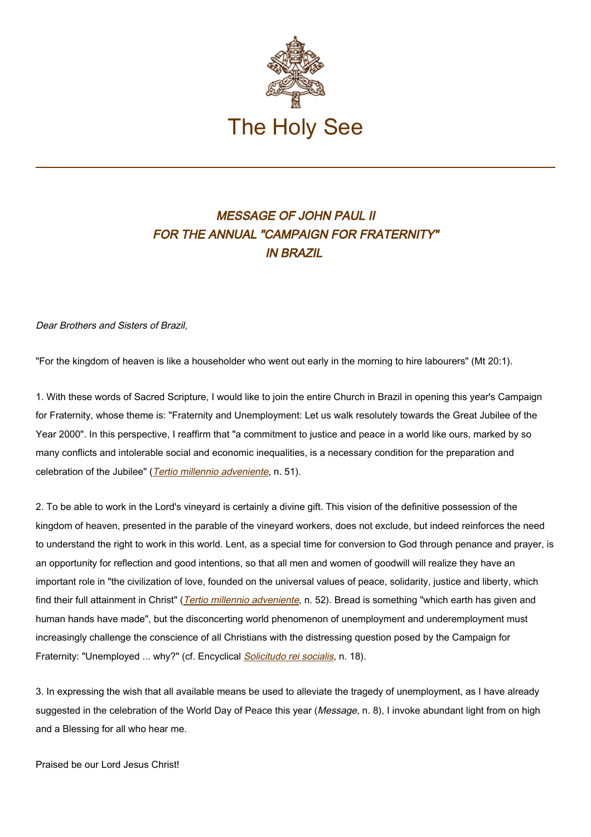

## MESSAGE OF JOHN PAUL II FOR THE ANNUAL "CAMPAIGN FOR FRATERNITY" IN BRAZIL

Dear Brothers and Sisters of Brazil,

"For the kingdom of heaven is like a householder who went out early in the morning to hire labourers" (Mt 20:1).

1. With these words of Sacred Scripture, I would like to join the entire Church in Brazil in opening this year's Campaign for Fraternity, whose theme is: "Fraternity and Unemployment: Let us walk resolutely towards the Great Jubilee of the Year 2000". In this perspective, I reaffirm that "a commitment to justice and peace in a world like ours, marked by so many conflicts and intolerable social and economic inequalities, is a necessary condition for the preparation and celebration of the Jubilee" ([Tertio millennio adveniente](https://www.vatican.va/content/john-paul-ii/en/apost_letters/documents/hf_jp-ii_apl_10111994_tertio-millennio-adveniente.html), n. 51).

2. To be able to work in the Lord's vineyard is certainly a divine gift. This vision of the definitive possession of the kingdom of heaven, presented in the parable of the vineyard workers, does not exclude, but indeed reinforces the need to understand the right to work in this world. Lent, as a special time for conversion to God through penance and prayer, is an opportunity for reflection and good intentions, so that all men and women of goodwill will realize they have an important role in "the civilization of love, founded on the universal values of peace, solidarity, justice and liberty, which find their full attainment in Christ" (*[Tertio millennio adveniente](https://www.vatican.va/content/john-paul-ii/en/apost_letters/documents/hf_jp-ii_apl_10111994_tertio-millennio-adveniente.html)*, n. 52). Bread is something "which earth has given and human hands have made", but the disconcerting world phenomenon of unemployment and underemployment must increasingly challenge the conscience of all Christians with the distressing question posed by the Campaign for Fraternity: "Unemployed ... why?" (cf. Encyclical **[Solicitudo rei socialis](http://www.vatican.va/edocs/ENG0223/_INDEX.HTM)**, n. 18).

3. In expressing the wish that all available means be used to alleviate the tragedy of unemployment, as I have already suggested in the celebration of the World Day of Peace this year (Message, n. 8), I invoke abundant light from on high and a Blessing for all who hear me.

Praised be our Lord Jesus Christ!